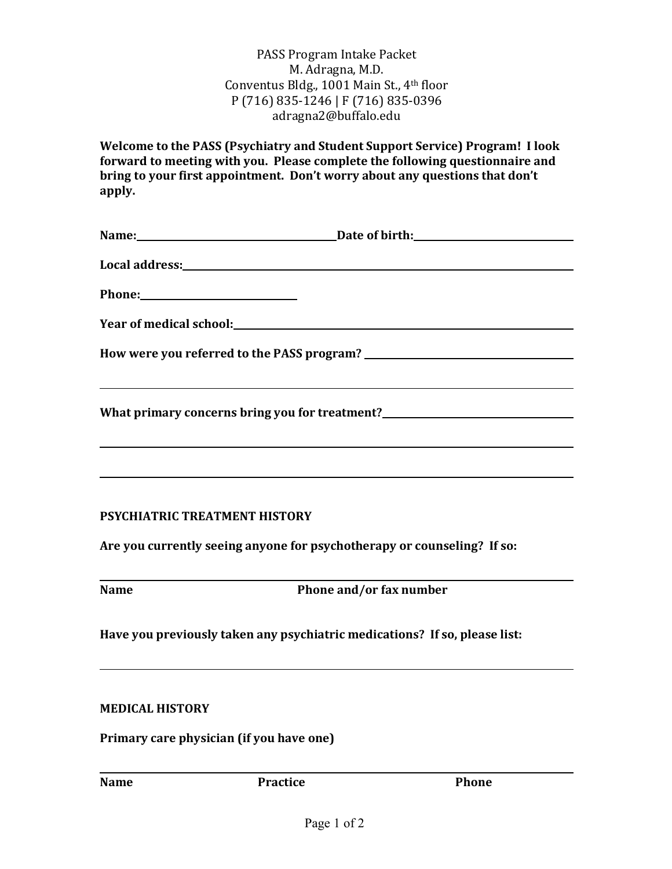## PASS Program Intake Packet M. Adragna, M.D. Conventus Bldg., 1001 Main St., 4<sup>th</sup> floor P (716) 835-1246 | F (716) 835-0396 adragna2@buffalo.edu

**Welcome to the PASS (Psychiatry and Student Support Service) Program! I look** forward to meeting with you. Please complete the following questionnaire and bring to your first appointment. Don't worry about any questions that don't **apply.**

|                               | ,我们也不会有什么。""我们的人,我们也不会有什么?""我们的人,我们也不会有什么?""我们的人,我们也不会有什么?""我们的人,我们也不会有什么?""我们的人                                      |
|-------------------------------|-----------------------------------------------------------------------------------------------------------------------|
|                               | What primary concerns bring you for treatment?__________________________________                                      |
|                               |                                                                                                                       |
|                               | <u> 1990 - Jan Samuel Barbara, martin da shekara ta 1991 - An tsara tsara tsara tsara tsara tsara tsara tsara tsa</u> |
|                               |                                                                                                                       |
| PSYCHIATRIC TREATMENT HISTORY |                                                                                                                       |

Are you currently seeing anyone for psychotherapy or counseling? If so:

| ×<br>۰.<br>۰, |
|---------------|
|---------------|

**Name Phone and/or fax number**

Have you previously taken any psychiatric medications? If so, please list:

## **MEDICAL HISTORY**

**Primary care physician (if you have one)** 

**Name Practice Phone**